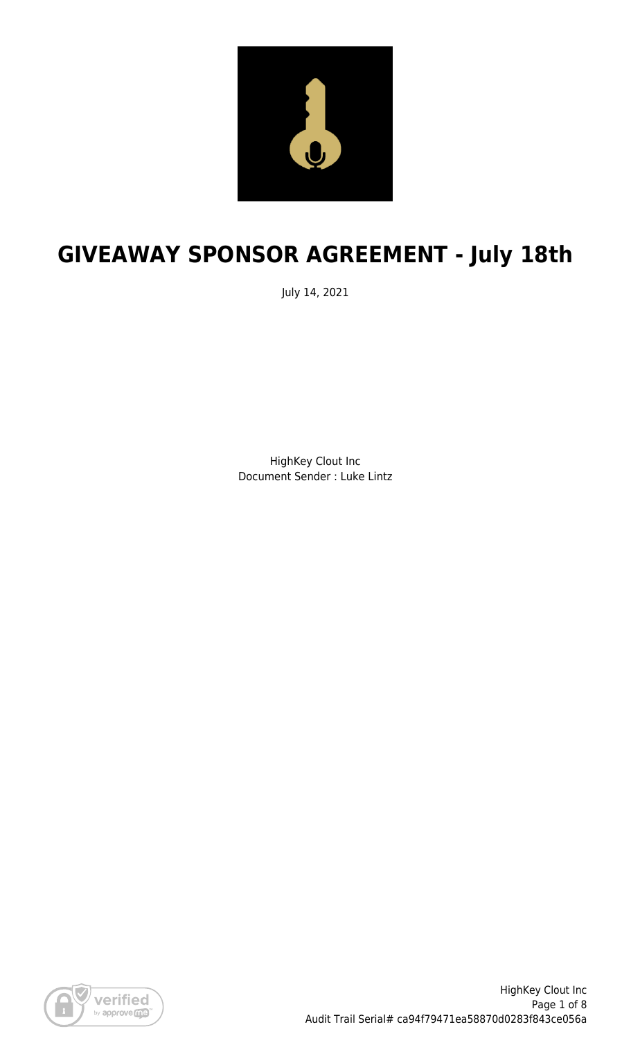

# **GIVEAWAY SPONSOR AGREEMENT - July 18th**

July 14, 2021

HighKey Clout Inc Document Sender : Luke Lintz

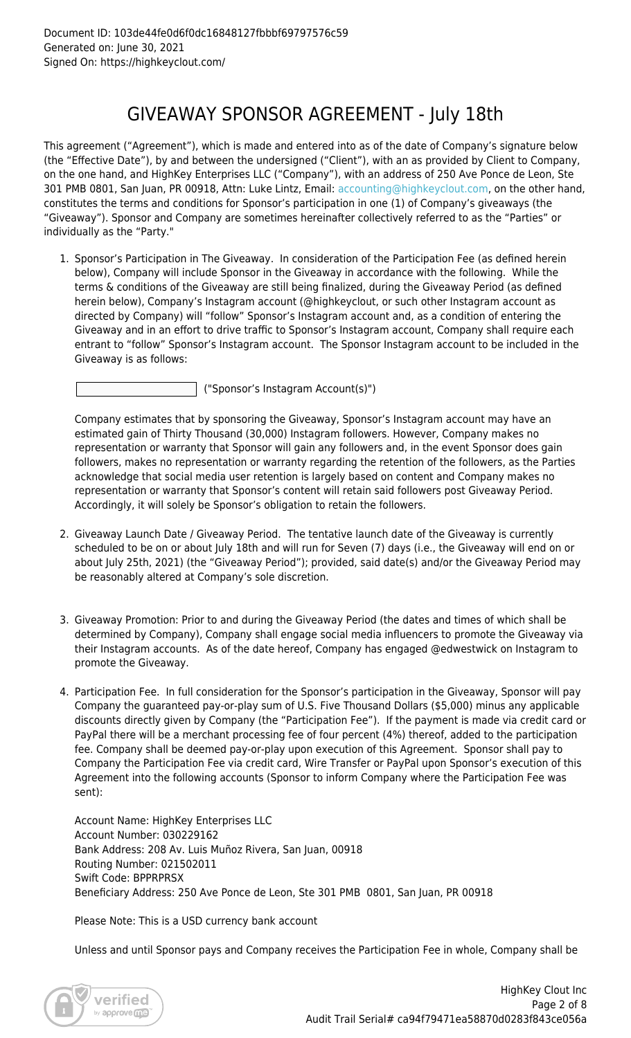### GIVEAWAY SPONSOR AGREEMENT - July 18th

This agreement ("Agreement"), which is made and entered into as of the date of Company's signature below (the "Effective Date"), by and between the undersigned ("Client"), with an as provided by Client to Company, on the one hand, and HighKey Enterprises LLC ("Company"), with an address of 250 Ave Ponce de Leon, Ste 301 PMB 0801, San Juan, PR 00918, Attn: Luke Lintz, Email: [accounting@highkeyclout.com,](mailto:accounting@highkeyclout.com) on the other hand, constitutes the terms and conditions for Sponsor's participation in one (1) of Company's giveaways (the "Giveaway"). Sponsor and Company are sometimes hereinafter collectively referred to as the "Parties" or individually as the "Party."

1. Sponsor's Participation in The Giveaway. In consideration of the Participation Fee (as defined herein below), Company will include Sponsor in the Giveaway in accordance with the following. While the terms & conditions of the Giveaway are still being finalized, during the Giveaway Period (as defined herein below), Company's Instagram account (@highkeyclout, or such other Instagram account as directed by Company) will "follow" Sponsor's Instagram account and, as a condition of entering the Giveaway and in an effort to drive traffic to Sponsor's Instagram account, Company shall require each entrant to "follow" Sponsor's Instagram account. The Sponsor Instagram account to be included in the Giveaway is as follows:

("Sponsor's Instagram Account(s)")

Company estimates that by sponsoring the Giveaway, Sponsor's Instagram account may have an estimated gain of Thirty Thousand (30,000) Instagram followers. However, Company makes no representation or warranty that Sponsor will gain any followers and, in the event Sponsor does gain followers, makes no representation or warranty regarding the retention of the followers, as the Parties acknowledge that social media user retention is largely based on content and Company makes no representation or warranty that Sponsor's content will retain said followers post Giveaway Period. Accordingly, it will solely be Sponsor's obligation to retain the followers.

- 2. Giveaway Launch Date / Giveaway Period. The tentative launch date of the Giveaway is currently scheduled to be on or about July 18th and will run for Seven (7) days (i.e., the Giveaway will end on or about July 25th, 2021) (the "Giveaway Period"); provided, said date(s) and/or the Giveaway Period may be reasonably altered at Company's sole discretion.
- 3. Giveaway Promotion: Prior to and during the Giveaway Period (the dates and times of which shall be determined by Company), Company shall engage social media influencers to promote the Giveaway via their Instagram accounts. As of the date hereof, Company has engaged @edwestwick on Instagram to promote the Giveaway.
- 4. Participation Fee. In full consideration for the Sponsor's participation in the Giveaway, Sponsor will pay Company the guaranteed pay-or-play sum of U.S. Five Thousand Dollars (\$5,000) minus any applicable discounts directly given by Company (the "Participation Fee"). If the payment is made via credit card or PayPal there will be a merchant processing fee of four percent (4%) thereof, added to the participation fee. Company shall be deemed pay-or-play upon execution of this Agreement. Sponsor shall pay to Company the Participation Fee via credit card, Wire Transfer or PayPal upon Sponsor's execution of this Agreement into the following accounts (Sponsor to inform Company where the Participation Fee was sent):

Account Name: HighKey Enterprises LLC Account Number: 030229162 Bank Address: 208 Av. Luis Muñoz Rivera, San Juan, 00918 Routing Number: 021502011 Swift Code: BPPRPRSX Beneficiary Address: 250 Ave Ponce de Leon, Ste 301 PMB 0801, San Juan, PR 00918

Please Note: This is a USD currency bank account

Unless and until Sponsor pays and Company receives the Participation Fee in whole, Company shall be

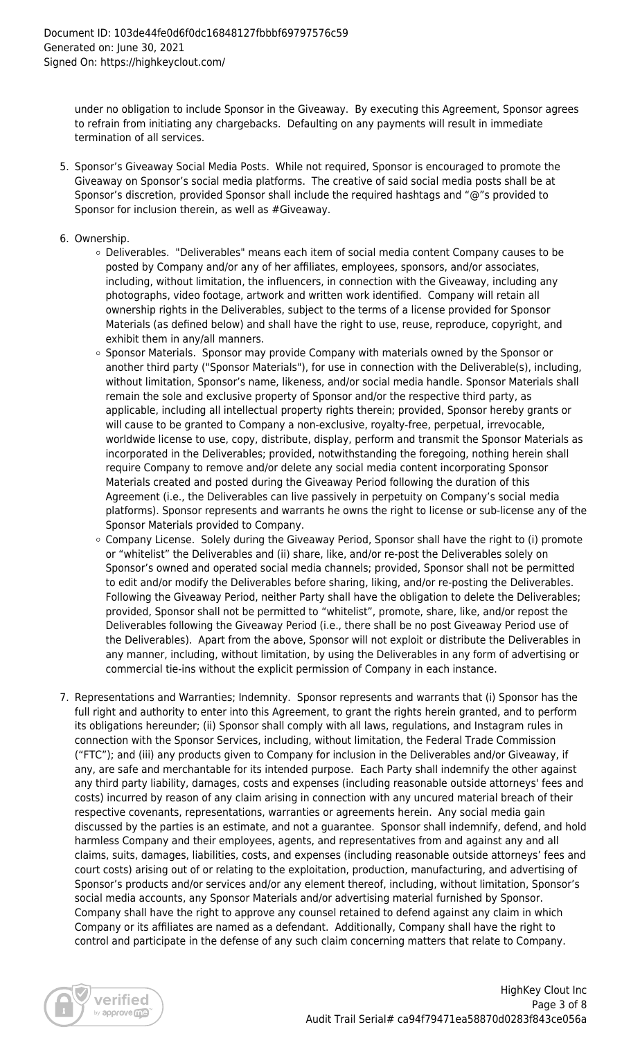under no obligation to include Sponsor in the Giveaway. By executing this Agreement, Sponsor agrees to refrain from initiating any chargebacks. Defaulting on any payments will result in immediate termination of all services.

- 5. Sponsor's Giveaway Social Media Posts. While not required, Sponsor is encouraged to promote the Giveaway on Sponsor's social media platforms. The creative of said social media posts shall be at Sponsor's discretion, provided Sponsor shall include the required hashtags and "@"s provided to Sponsor for inclusion therein, as well as #Giveaway.
- 6. Ownership.
	- Deliverables. "Deliverables" means each item of social media content Company causes to be posted by Company and/or any of her affiliates, employees, sponsors, and/or associates, including, without limitation, the influencers, in connection with the Giveaway, including any photographs, video footage, artwork and written work identified. Company will retain all ownership rights in the Deliverables, subject to the terms of a license provided for Sponsor Materials (as defined below) and shall have the right to use, reuse, reproduce, copyright, and exhibit them in any/all manners.
	- Sponsor Materials. Sponsor may provide Company with materials owned by the Sponsor or another third party ("Sponsor Materials"), for use in connection with the Deliverable(s), including, without limitation, Sponsor's name, likeness, and/or social media handle. Sponsor Materials shall remain the sole and exclusive property of Sponsor and/or the respective third party, as applicable, including all intellectual property rights therein; provided, Sponsor hereby grants or will cause to be granted to Company a non-exclusive, royalty-free, perpetual, irrevocable, worldwide license to use, copy, distribute, display, perform and transmit the Sponsor Materials as incorporated in the Deliverables; provided, notwithstanding the foregoing, nothing herein shall require Company to remove and/or delete any social media content incorporating Sponsor Materials created and posted during the Giveaway Period following the duration of this Agreement (i.e., the Deliverables can live passively in perpetuity on Company's social media platforms). Sponsor represents and warrants he owns the right to license or sub-license any of the Sponsor Materials provided to Company.
	- $\circ$  Company License. Solely during the Giveaway Period, Sponsor shall have the right to (i) promote or "whitelist" the Deliverables and (ii) share, like, and/or re-post the Deliverables solely on Sponsor's owned and operated social media channels; provided, Sponsor shall not be permitted to edit and/or modify the Deliverables before sharing, liking, and/or re-posting the Deliverables. Following the Giveaway Period, neither Party shall have the obligation to delete the Deliverables; provided, Sponsor shall not be permitted to "whitelist", promote, share, like, and/or repost the Deliverables following the Giveaway Period (i.e., there shall be no post Giveaway Period use of the Deliverables). Apart from the above, Sponsor will not exploit or distribute the Deliverables in any manner, including, without limitation, by using the Deliverables in any form of advertising or commercial tie-ins without the explicit permission of Company in each instance.
- 7. Representations and Warranties; Indemnity. Sponsor represents and warrants that (i) Sponsor has the full right and authority to enter into this Agreement, to grant the rights herein granted, and to perform its obligations hereunder; (ii) Sponsor shall comply with all laws, regulations, and Instagram rules in connection with the Sponsor Services, including, without limitation, the Federal Trade Commission ("FTC"); and (iii) any products given to Company for inclusion in the Deliverables and/or Giveaway, if any, are safe and merchantable for its intended purpose. Each Party shall indemnify the other against any third party liability, damages, costs and expenses (including reasonable outside attorneys' fees and costs) incurred by reason of any claim arising in connection with any uncured material breach of their respective covenants, representations, warranties or agreements herein. Any social media gain discussed by the parties is an estimate, and not a guarantee. Sponsor shall indemnify, defend, and hold harmless Company and their employees, agents, and representatives from and against any and all claims, suits, damages, liabilities, costs, and expenses (including reasonable outside attorneys' fees and court costs) arising out of or relating to the exploitation, production, manufacturing, and advertising of Sponsor's products and/or services and/or any element thereof, including, without limitation, Sponsor's social media accounts, any Sponsor Materials and/or advertising material furnished by Sponsor. Company shall have the right to approve any counsel retained to defend against any claim in which Company or its affiliates are named as a defendant. Additionally, Company shall have the right to control and participate in the defense of any such claim concerning matters that relate to Company.

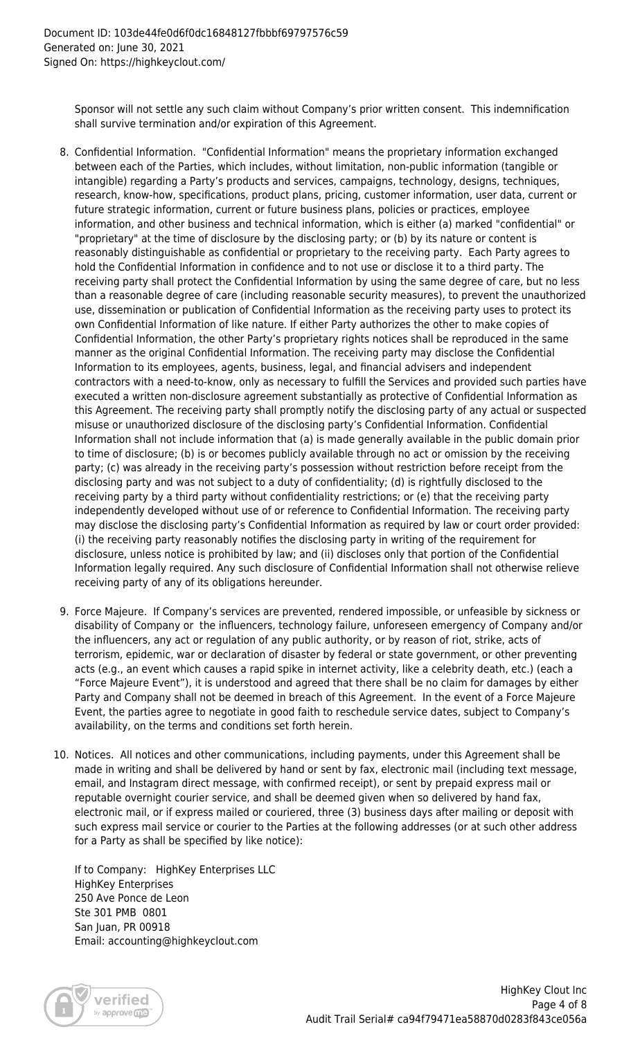Sponsor will not settle any such claim without Company's prior written consent. This indemnification shall survive termination and/or expiration of this Agreement.

- 8. Confidential Information. "Confidential Information" means the proprietary information exchanged between each of the Parties, which includes, without limitation, non-public information (tangible or intangible) regarding a Party's products and services, campaigns, technology, designs, techniques, research, know-how, specifications, product plans, pricing, customer information, user data, current or future strategic information, current or future business plans, policies or practices, employee information, and other business and technical information, which is either (a) marked "confidential" or "proprietary" at the time of disclosure by the disclosing party; or (b) by its nature or content is reasonably distinguishable as confidential or proprietary to the receiving party. Each Party agrees to hold the Confidential Information in confidence and to not use or disclose it to a third party. The receiving party shall protect the Confidential Information by using the same degree of care, but no less than a reasonable degree of care (including reasonable security measures), to prevent the unauthorized use, dissemination or publication of Confidential Information as the receiving party uses to protect its own Confidential Information of like nature. If either Party authorizes the other to make copies of Confidential Information, the other Party's proprietary rights notices shall be reproduced in the same manner as the original Confidential Information. The receiving party may disclose the Confidential Information to its employees, agents, business, legal, and financial advisers and independent contractors with a need-to-know, only as necessary to fulfill the Services and provided such parties have executed a written non-disclosure agreement substantially as protective of Confidential Information as this Agreement. The receiving party shall promptly notify the disclosing party of any actual or suspected misuse or unauthorized disclosure of the disclosing party's Confidential Information. Confidential Information shall not include information that (a) is made generally available in the public domain prior to time of disclosure; (b) is or becomes publicly available through no act or omission by the receiving party; (c) was already in the receiving party's possession without restriction before receipt from the disclosing party and was not subject to a duty of confidentiality; (d) is rightfully disclosed to the receiving party by a third party without confidentiality restrictions; or (e) that the receiving party independently developed without use of or reference to Confidential Information. The receiving party may disclose the disclosing party's Confidential Information as required by law or court order provided: (i) the receiving party reasonably notifies the disclosing party in writing of the requirement for disclosure, unless notice is prohibited by law; and (ii) discloses only that portion of the Confidential Information legally required. Any such disclosure of Confidential Information shall not otherwise relieve receiving party of any of its obligations hereunder.
- 9. Force Majeure. If Company's services are prevented, rendered impossible, or unfeasible by sickness or disability of Company or the influencers, technology failure, unforeseen emergency of Company and/or the influencers, any act or regulation of any public authority, or by reason of riot, strike, acts of terrorism, epidemic, war or declaration of disaster by federal or state government, or other preventing acts (e.g., an event which causes a rapid spike in internet activity, like a celebrity death, etc.) (each a "Force Majeure Event"), it is understood and agreed that there shall be no claim for damages by either Party and Company shall not be deemed in breach of this Agreement. In the event of a Force Majeure Event, the parties agree to negotiate in good faith to reschedule service dates, subject to Company's availability, on the terms and conditions set forth herein.
- 10. Notices. All notices and other communications, including payments, under this Agreement shall be made in writing and shall be delivered by hand or sent by fax, electronic mail (including text message, email, and Instagram direct message, with confirmed receipt), or sent by prepaid express mail or reputable overnight courier service, and shall be deemed given when so delivered by hand fax, electronic mail, or if express mailed or couriered, three (3) business days after mailing or deposit with such express mail service or courier to the Parties at the following addresses (or at such other address for a Party as shall be specified by like notice):

If to Company: HighKey Enterprises LLC HighKey Enterprises 250 Ave Ponce de Leon Ste 301 PMB 0801 San Juan, PR 00918 Email: accounting@highkeyclout.com

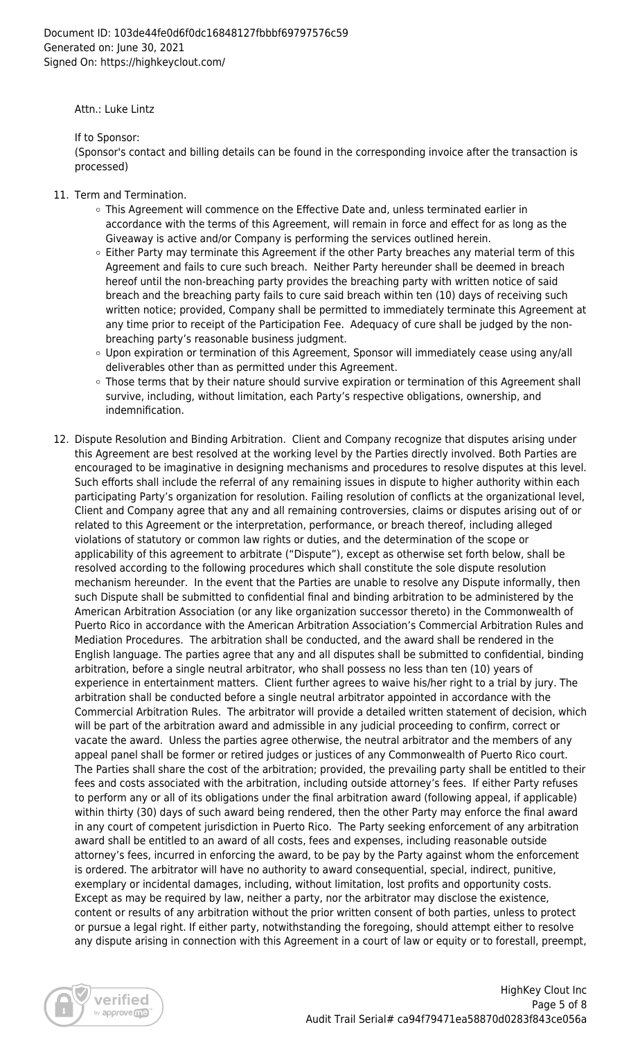Attn.: Luke Lintz

If to Sponsor:

(Sponsor's contact and billing details can be found in the corresponding invoice after the transaction is processed)

- 11. Term and Termination.
	- This Agreement will commence on the Effective Date and, unless terminated earlier in accordance with the terms of this Agreement, will remain in force and effect for as long as the Giveaway is active and/or Company is performing the services outlined herein.
	- $\circ$  Either Party may terminate this Agreement if the other Party breaches any material term of this Agreement and fails to cure such breach. Neither Party hereunder shall be deemed in breach hereof until the non-breaching party provides the breaching party with written notice of said breach and the breaching party fails to cure said breach within ten (10) days of receiving such written notice; provided, Company shall be permitted to immediately terminate this Agreement at any time prior to receipt of the Participation Fee. Adequacy of cure shall be judged by the nonbreaching party's reasonable business judgment.
	- Upon expiration or termination of this Agreement, Sponsor will immediately cease using any/all deliverables other than as permitted under this Agreement.
	- o Those terms that by their nature should survive expiration or termination of this Agreement shall survive, including, without limitation, each Party's respective obligations, ownership, and indemnification.
- 12. Dispute Resolution and Binding Arbitration. Client and Company recognize that disputes arising under this Agreement are best resolved at the working level by the Parties directly involved. Both Parties are encouraged to be imaginative in designing mechanisms and procedures to resolve disputes at this level. Such efforts shall include the referral of any remaining issues in dispute to higher authority within each participating Party's organization for resolution. Failing resolution of conflicts at the organizational level, Client and Company agree that any and all remaining controversies, claims or disputes arising out of or related to this Agreement or the interpretation, performance, or breach thereof, including alleged violations of statutory or common law rights or duties, and the determination of the scope or applicability of this agreement to arbitrate ("Dispute"), except as otherwise set forth below, shall be resolved according to the following procedures which shall constitute the sole dispute resolution mechanism hereunder. In the event that the Parties are unable to resolve any Dispute informally, then such Dispute shall be submitted to confidential final and binding arbitration to be administered by the American Arbitration Association (or any like organization successor thereto) in the Commonwealth of Puerto Rico in accordance with the American Arbitration Association's Commercial Arbitration Rules and Mediation Procedures. The arbitration shall be conducted, and the award shall be rendered in the English language. The parties agree that any and all disputes shall be submitted to confidential, binding arbitration, before a single neutral arbitrator, who shall possess no less than ten (10) years of experience in entertainment matters. Client further agrees to waive his/her right to a trial by jury. The arbitration shall be conducted before a single neutral arbitrator appointed in accordance with the Commercial Arbitration Rules. The arbitrator will provide a detailed written statement of decision, which will be part of the arbitration award and admissible in any judicial proceeding to confirm, correct or vacate the award. Unless the parties agree otherwise, the neutral arbitrator and the members of any appeal panel shall be former or retired judges or justices of any Commonwealth of Puerto Rico court. The Parties shall share the cost of the arbitration; provided, the prevailing party shall be entitled to their fees and costs associated with the arbitration, including outside attorney's fees. If either Party refuses to perform any or all of its obligations under the final arbitration award (following appeal, if applicable) within thirty (30) days of such award being rendered, then the other Party may enforce the final award in any court of competent jurisdiction in Puerto Rico. The Party seeking enforcement of any arbitration award shall be entitled to an award of all costs, fees and expenses, including reasonable outside attorney's fees, incurred in enforcing the award, to be pay by the Party against whom the enforcement is ordered. The arbitrator will have no authority to award consequential, special, indirect, punitive, exemplary or incidental damages, including, without limitation, lost profits and opportunity costs. Except as may be required by law, neither a party, nor the arbitrator may disclose the existence, content or results of any arbitration without the prior written consent of both parties, unless to protect or pursue a legal right. If either party, notwithstanding the foregoing, should attempt either to resolve any dispute arising in connection with this Agreement in a court of law or equity or to forestall, preempt,

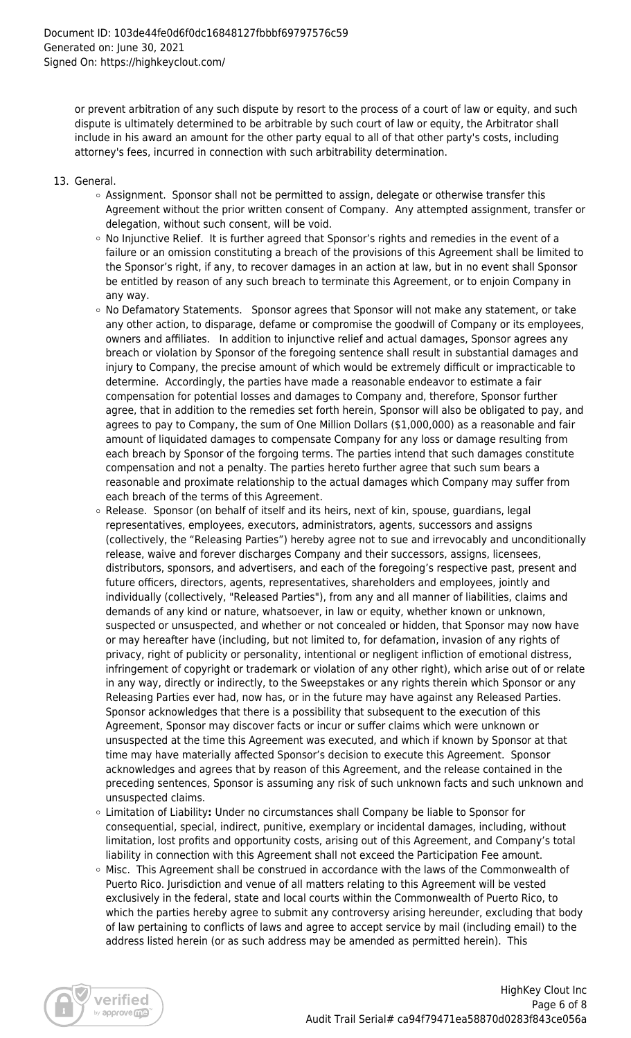or prevent arbitration of any such dispute by resort to the process of a court of law or equity, and such dispute is ultimately determined to be arbitrable by such court of law or equity, the Arbitrator shall include in his award an amount for the other party equal to all of that other party's costs, including attorney's fees, incurred in connection with such arbitrability determination.

- 13. General.
	- Assignment. Sponsor shall not be permitted to assign, delegate or otherwise transfer this Agreement without the prior written consent of Company. Any attempted assignment, transfer or delegation, without such consent, will be void.
	- $\circ$  No Injunctive Relief. It is further agreed that Sponsor's rights and remedies in the event of a failure or an omission constituting a breach of the provisions of this Agreement shall be limited to the Sponsor's right, if any, to recover damages in an action at law, but in no event shall Sponsor be entitled by reason of any such breach to terminate this Agreement, or to enjoin Company in any way.
	- o No Defamatory Statements. Sponsor agrees that Sponsor will not make any statement, or take any other action, to disparage, defame or compromise the goodwill of Company or its employees, owners and affiliates. In addition to injunctive relief and actual damages, Sponsor agrees any breach or violation by Sponsor of the foregoing sentence shall result in substantial damages and injury to Company, the precise amount of which would be extremely difficult or impracticable to determine. Accordingly, the parties have made a reasonable endeavor to estimate a fair compensation for potential losses and damages to Company and, therefore, Sponsor further agree, that in addition to the remedies set forth herein, Sponsor will also be obligated to pay, and agrees to pay to Company, the sum of One Million Dollars (\$1,000,000) as a reasonable and fair amount of liquidated damages to compensate Company for any loss or damage resulting from each breach by Sponsor of the forgoing terms. The parties intend that such damages constitute compensation and not a penalty. The parties hereto further agree that such sum bears a reasonable and proximate relationship to the actual damages which Company may suffer from each breach of the terms of this Agreement.
	- $\circ$  Release. Sponsor (on behalf of itself and its heirs, next of kin, spouse, guardians, legal representatives, employees, executors, administrators, agents, successors and assigns (collectively, the "Releasing Parties") hereby agree not to sue and irrevocably and unconditionally release, waive and forever discharges Company and their successors, assigns, licensees, distributors, sponsors, and advertisers, and each of the foregoing's respective past, present and future officers, directors, agents, representatives, shareholders and employees, jointly and individually (collectively, "Released Parties"), from any and all manner of liabilities, claims and demands of any kind or nature, whatsoever, in law or equity, whether known or unknown, suspected or unsuspected, and whether or not concealed or hidden, that Sponsor may now have or may hereafter have (including, but not limited to, for defamation, invasion of any rights of privacy, right of publicity or personality, intentional or negligent infliction of emotional distress, infringement of copyright or trademark or violation of any other right), which arise out of or relate in any way, directly or indirectly, to the Sweepstakes or any rights therein which Sponsor or any Releasing Parties ever had, now has, or in the future may have against any Released Parties. Sponsor acknowledges that there is a possibility that subsequent to the execution of this Agreement, Sponsor may discover facts or incur or suffer claims which were unknown or unsuspected at the time this Agreement was executed, and which if known by Sponsor at that time may have materially affected Sponsor's decision to execute this Agreement. Sponsor acknowledges and agrees that by reason of this Agreement, and the release contained in the preceding sentences, Sponsor is assuming any risk of such unknown facts and such unknown and unsuspected claims.
	- Limitation of Liability**:** Under no circumstances shall Company be liable to Sponsor for consequential, special, indirect, punitive, exemplary or incidental damages, including, without limitation, lost profits and opportunity costs, arising out of this Agreement, and Company's total liability in connection with this Agreement shall not exceed the Participation Fee amount.
	- Misc. This Agreement shall be construed in accordance with the laws of the Commonwealth of Puerto Rico. Jurisdiction and venue of all matters relating to this Agreement will be vested exclusively in the federal, state and local courts within the Commonwealth of Puerto Rico, to which the parties hereby agree to submit any controversy arising hereunder, excluding that body of law pertaining to conflicts of laws and agree to accept service by mail (including email) to the address listed herein (or as such address may be amended as permitted herein). This

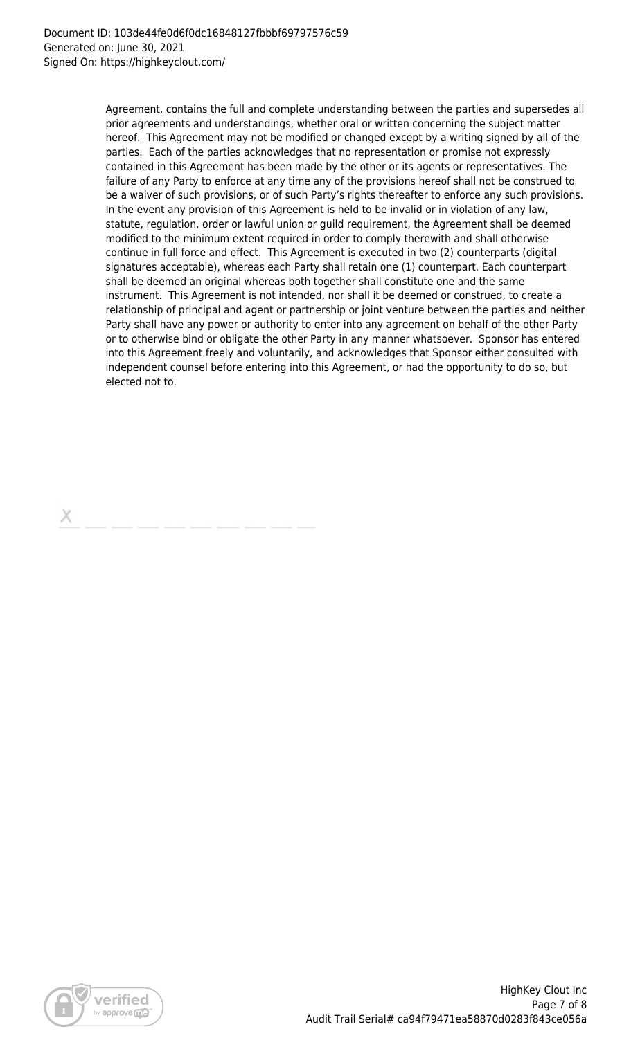Agreement, contains the full and complete understanding between the parties and supersedes all prior agreements and understandings, whether oral or written concerning the subject matter hereof. This Agreement may not be modified or changed except by a writing signed by all of the parties. Each of the parties acknowledges that no representation or promise not expressly contained in this Agreement has been made by the other or its agents or representatives. The failure of any Party to enforce at any time any of the provisions hereof shall not be construed to be a waiver of such provisions, or of such Party's rights thereafter to enforce any such provisions. In the event any provision of this Agreement is held to be invalid or in violation of any law, statute, regulation, order or lawful union or guild requirement, the Agreement shall be deemed modified to the minimum extent required in order to comply therewith and shall otherwise continue in full force and effect. This Agreement is executed in two (2) counterparts (digital signatures acceptable), whereas each Party shall retain one (1) counterpart. Each counterpart shall be deemed an original whereas both together shall constitute one and the same instrument. This Agreement is not intended, nor shall it be deemed or construed, to create a relationship of principal and agent or partnership or joint venture between the parties and neither Party shall have any power or authority to enter into any agreement on behalf of the other Party or to otherwise bind or obligate the other Party in any manner whatsoever. Sponsor has entered into this Agreement freely and voluntarily, and acknowledges that Sponsor either consulted with independent counsel before entering into this Agreement, or had the opportunity to do so, but elected not to.

х